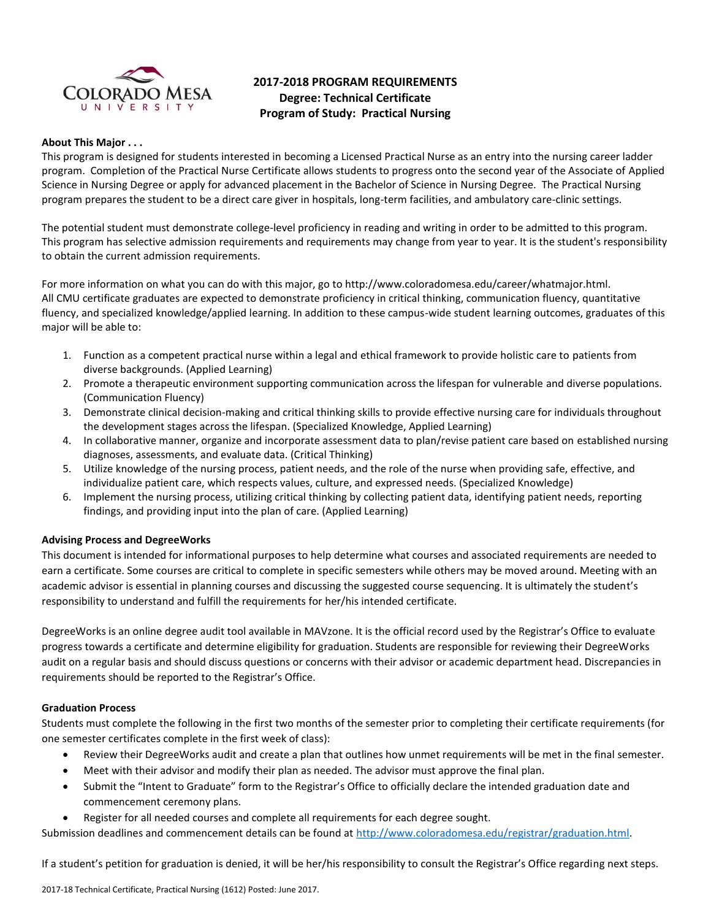

# **2017-2018 PROGRAM REQUIREMENTS Degree: Technical Certificate Program of Study: Practical Nursing**

# **About This Major . . .**

This program is designed for students interested in becoming a Licensed Practical Nurse as an entry into the nursing career ladder program. Completion of the Practical Nurse Certificate allows students to progress onto the second year of the Associate of Applied Science in Nursing Degree or apply for advanced placement in the Bachelor of Science in Nursing Degree. The Practical Nursing program prepares the student to be a direct care giver in hospitals, long-term facilities, and ambulatory care-clinic settings.

The potential student must demonstrate college-level proficiency in reading and writing in order to be admitted to this program. This program has selective admission requirements and requirements may change from year to year. It is the student's responsibility to obtain the current admission requirements.

For more information on what you can do with this major, go to http://www.coloradomesa.edu/career/whatmajor.html. All CMU certificate graduates are expected to demonstrate proficiency in critical thinking, communication fluency, quantitative fluency, and specialized knowledge/applied learning. In addition to these campus-wide student learning outcomes, graduates of this major will be able to:

- 1. Function as a competent practical nurse within a legal and ethical framework to provide holistic care to patients from diverse backgrounds. (Applied Learning)
- 2. Promote a therapeutic environment supporting communication across the lifespan for vulnerable and diverse populations. (Communication Fluency)
- 3. Demonstrate clinical decision-making and critical thinking skills to provide effective nursing care for individuals throughout the development stages across the lifespan. (Specialized Knowledge, Applied Learning)
- 4. In collaborative manner, organize and incorporate assessment data to plan/revise patient care based on established nursing diagnoses, assessments, and evaluate data. (Critical Thinking)
- 5. Utilize knowledge of the nursing process, patient needs, and the role of the nurse when providing safe, effective, and individualize patient care, which respects values, culture, and expressed needs. (Specialized Knowledge)
- 6. Implement the nursing process, utilizing critical thinking by collecting patient data, identifying patient needs, reporting findings, and providing input into the plan of care. (Applied Learning)

### **Advising Process and DegreeWorks**

This document is intended for informational purposes to help determine what courses and associated requirements are needed to earn a certificate. Some courses are critical to complete in specific semesters while others may be moved around. Meeting with an academic advisor is essential in planning courses and discussing the suggested course sequencing. It is ultimately the student's responsibility to understand and fulfill the requirements for her/his intended certificate.

DegreeWorks is an online degree audit tool available in MAVzone. It is the official record used by the Registrar's Office to evaluate progress towards a certificate and determine eligibility for graduation. Students are responsible for reviewing their DegreeWorks audit on a regular basis and should discuss questions or concerns with their advisor or academic department head. Discrepancies in requirements should be reported to the Registrar's Office.

#### **Graduation Process**

Students must complete the following in the first two months of the semester prior to completing their certificate requirements (for one semester certificates complete in the first week of class):

- Review their DegreeWorks audit and create a plan that outlines how unmet requirements will be met in the final semester.
- Meet with their advisor and modify their plan as needed. The advisor must approve the final plan.
- Submit the "Intent to Graduate" form to the Registrar's Office to officially declare the intended graduation date and commencement ceremony plans.
- Register for all needed courses and complete all requirements for each degree sought.

Submission deadlines and commencement details can be found at [http://www.coloradomesa.edu/registrar/graduation.html.](http://www.coloradomesa.edu/registrar/graduation.html)

If a student's petition for graduation is denied, it will be her/his responsibility to consult the Registrar's Office regarding next steps.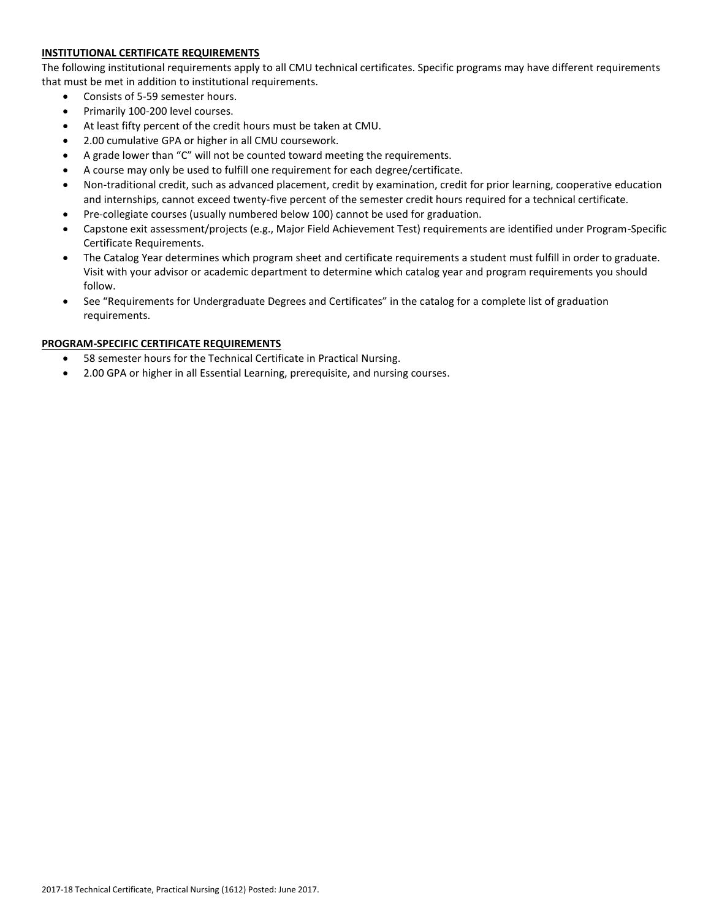# **INSTITUTIONAL CERTIFICATE REQUIREMENTS**

The following institutional requirements apply to all CMU technical certificates. Specific programs may have different requirements that must be met in addition to institutional requirements.

- Consists of 5-59 semester hours.
- Primarily 100-200 level courses.
- At least fifty percent of the credit hours must be taken at CMU.
- 2.00 cumulative GPA or higher in all CMU coursework.
- A grade lower than "C" will not be counted toward meeting the requirements.
- A course may only be used to fulfill one requirement for each degree/certificate.
- Non-traditional credit, such as advanced placement, credit by examination, credit for prior learning, cooperative education and internships, cannot exceed twenty-five percent of the semester credit hours required for a technical certificate.
- Pre-collegiate courses (usually numbered below 100) cannot be used for graduation.
- Capstone exit assessment/projects (e.g., Major Field Achievement Test) requirements are identified under Program-Specific Certificate Requirements.
- The Catalog Year determines which program sheet and certificate requirements a student must fulfill in order to graduate. Visit with your advisor or academic department to determine which catalog year and program requirements you should follow.
- See "Requirements for Undergraduate Degrees and Certificates" in the catalog for a complete list of graduation requirements.

# **PROGRAM-SPECIFIC CERTIFICATE REQUIREMENTS**

- 58 semester hours for the Technical Certificate in Practical Nursing.
- 2.00 GPA or higher in all Essential Learning, prerequisite, and nursing courses.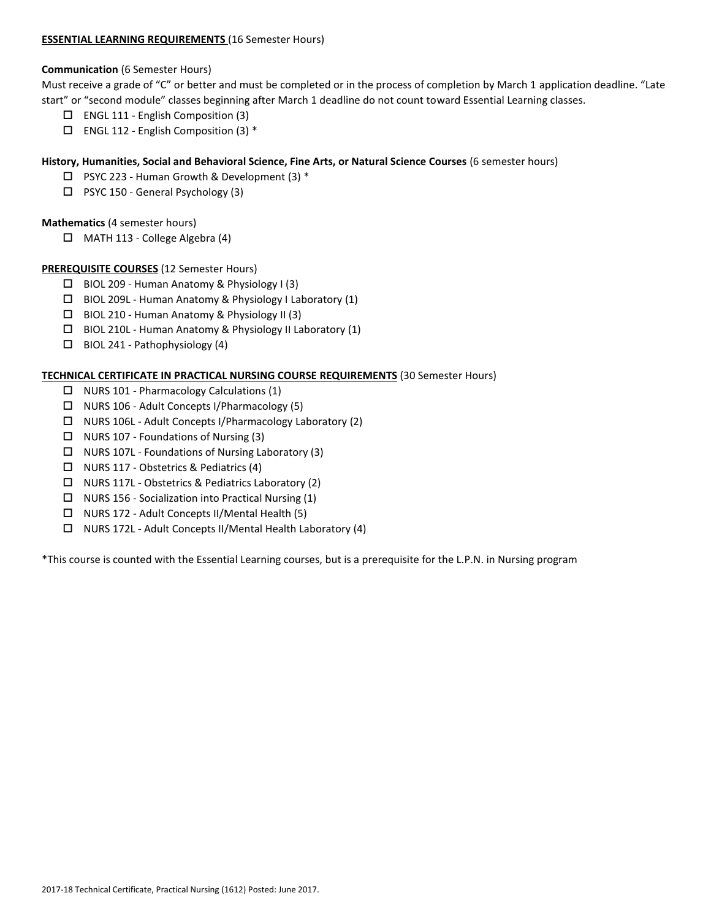### **ESSENTIAL LEARNING REQUIREMENTS** (16 Semester Hours)

### **Communication** (6 Semester Hours)

Must receive a grade of "C" or better and must be completed or in the process of completion by March 1 application deadline. "Late start" or "second module" classes beginning after March 1 deadline do not count toward Essential Learning classes.

- ENGL 111 English Composition (3)
- $\Box$  ENGL 112 English Composition (3) \*

# **History, Humanities, Social and Behavioral Science, Fine Arts, or Natural Science Courses** (6 semester hours)

- $\Box$  PSYC 223 Human Growth & Development (3) \*
- □ PSYC 150 General Psychology (3)

# **Mathematics** (4 semester hours)

 $\Box$  MATH 113 - College Algebra (4)

# **PREREQUISITE COURSES** (12 Semester Hours)

- BIOL 209 Human Anatomy & Physiology I (3)
- BIOL 209L Human Anatomy & Physiology I Laboratory (1)
- $\Box$  BIOL 210 Human Anatomy & Physiology II (3)
- BIOL 210L Human Anatomy & Physiology II Laboratory (1)
- $\Box$  BIOL 241 Pathophysiology (4)

# **TECHNICAL CERTIFICATE IN PRACTICAL NURSING COURSE REQUIREMENTS** (30 Semester Hours)

- $\Box$  NURS 101 Pharmacology Calculations (1)
- $\Box$  NURS 106 Adult Concepts I/Pharmacology (5)
- NURS 106L Adult Concepts I/Pharmacology Laboratory (2)
- $\Box$  NURS 107 Foundations of Nursing (3)
- $\Box$  NURS 107L Foundations of Nursing Laboratory (3)
- NURS 117 Obstetrics & Pediatrics (4)
- NURS 117L Obstetrics & Pediatrics Laboratory (2)
- $\Box$  NURS 156 Socialization into Practical Nursing (1)
- $\Box$  NURS 172 Adult Concepts II/Mental Health (5)
- NURS 172L Adult Concepts II/Mental Health Laboratory (4)

\*This course is counted with the Essential Learning courses, but is a prerequisite for the L.P.N. in Nursing program